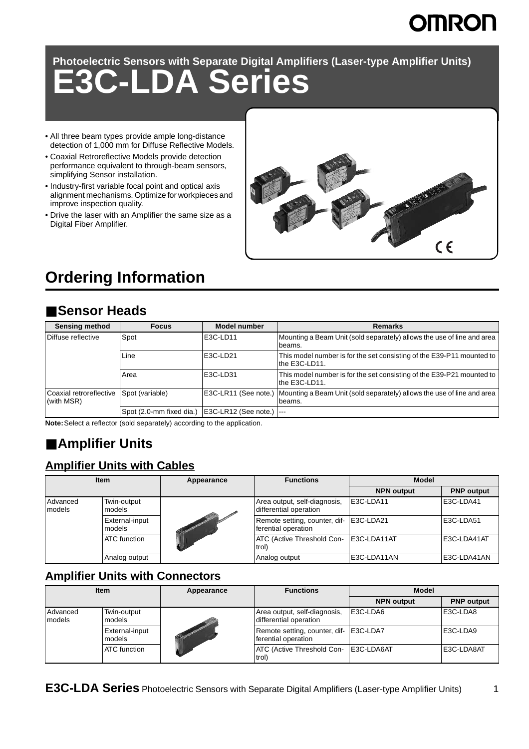# **OMRON**

**Photoelectric Sensors with Separate Digital Amplifiers (Laser-type Amplifier Units)**

# **E3C-LDA Series**

- All three beam types provide ample long-distance detection of 1,000 mm for Diffuse Reflective Models.
- Coaxial Retroreflective Models provide detection performance equivalent to through-beam sensors, simplifying Sensor installation.
- Industry-first variable focal point and optical axis alignment mechanisms. Optimize for workpieces and improve inspection quality.
- Drive the laser with an Amplifier the same size as a Digital Fiber Amplifier.



# **Ordering Information**

# ■ **Sensor Heads**

| <b>Sensing method</b>                 | <b>Focus</b>             | <b>Model number</b>  | <b>Remarks</b>                                                                         |
|---------------------------------------|--------------------------|----------------------|----------------------------------------------------------------------------------------|
| Diffuse reflective                    | Spot                     | E3C-LD11             | Mounting a Beam Unit (sold separately) allows the use of line and area<br>beams.       |
|                                       | Line                     | E3C-LD21             | This model number is for the set consisting of the E39-P11 mounted to<br>the E3C-LD11. |
|                                       | Area                     | E3C-LD31             | This model number is for the set consisting of the E39-P21 mounted to<br>the E3C-LD11. |
| Coaxial retroreflective<br>(with MSR) | Spot (variable)          | E3C-LR11 (See note.) | Mounting a Beam Unit (sold separately) allows the use of line and area<br>beams.       |
|                                       | Spot (2.0-mm fixed dia.) | E3C-LR12 (See note.) | ----                                                                                   |

**Note:**Select a reflector (sold separately) according to the application.

# ■ **Amplifier Units**

### **Amplifier Units with Cables**

| <b>Item</b>        |                          | Appearance | <b>Functions</b>                                               | <b>Model</b>      |                   |  |
|--------------------|--------------------------|------------|----------------------------------------------------------------|-------------------|-------------------|--|
|                    |                          |            |                                                                | <b>NPN output</b> | <b>PNP</b> output |  |
| Advanced<br>models | Twin-output<br>models    |            | Area output, self-diagnosis,<br>differential operation         | E3C-LDA11         | E3C-LDA41         |  |
|                    | External-input<br>models |            | Remote setting, counter, dif- E3C-LDA21<br>ferential operation |                   | E3C-LDA51         |  |
|                    | <b>ATC</b> function      |            | ATC (Active Threshold Con- E3C-LDA11AT<br>trol)                |                   | E3C-LDA41AT       |  |
|                    | Analog output            |            | Analog output                                                  | E3C-LDA11AN       | E3C-LDA41AN       |  |

### **Amplifier Units with Connectors**

| <b>Item</b>        |                          | Appearance | <b>Functions</b>                                              | <b>Model</b>      |                   |
|--------------------|--------------------------|------------|---------------------------------------------------------------|-------------------|-------------------|
|                    |                          |            |                                                               | <b>NPN output</b> | <b>PNP</b> output |
| Advanced<br>models | Twin-output<br>models    |            | Area output, self-diagnosis,<br>differential operation        | IE3C-LDA6         | E3C-LDA8          |
|                    | External-input<br>models |            | Remote setting, counter, dif- E3C-LDA7<br>ferential operation |                   | E3C-LDA9          |
|                    | <b>ATC</b> function      |            | ATC (Active Threshold Con-   E3C-LDA6AT<br>trol)              |                   | E3C-LDA8AT        |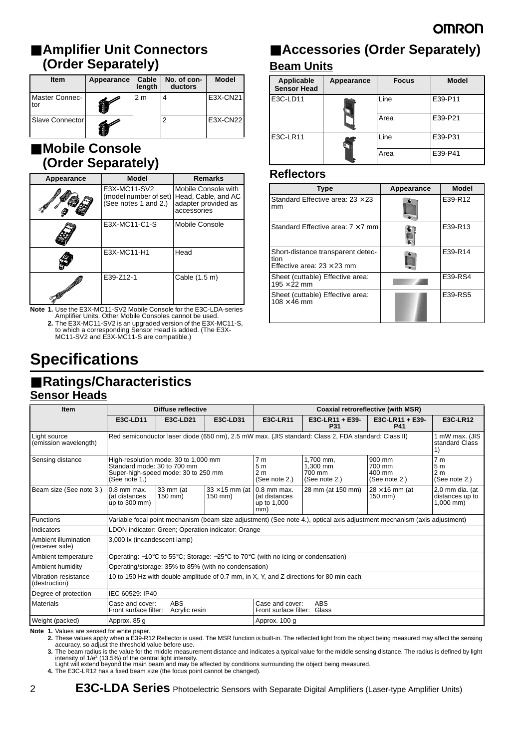# ■ **Amplifier Unit Connectors (Order Separately)**

| <b>Item</b>           | Appearance | Cable<br>length | No. of con-<br>ductors | <b>Model</b>    |
|-----------------------|------------|-----------------|------------------------|-----------------|
| Master Connec-<br>tor |            | 2 <sub>m</sub>  |                        | E3X-CN21        |
| Slave Connector       |            |                 |                        | <b>E3X-CN22</b> |

### ■ **Mobile Console (Order Separately)**

| Appearance | <b>Model</b>                                                  | <b>Remarks</b>                                                                   |
|------------|---------------------------------------------------------------|----------------------------------------------------------------------------------|
|            | E3X-MC11-SV2<br>(model number of set)<br>(See notes 1 and 2.) | Mobile Console with<br>Head, Cable, and AC<br>adapter provided as<br>accessories |
|            | E3X-MC11-C1-S                                                 | Mobile Console                                                                   |
|            | E3X-MC11-H1                                                   | Head                                                                             |
|            | E39-Z12-1                                                     | Cable (1.5 m)                                                                    |

**Note 1.** Use the E3X-MC11-SV2 Mobile Console for the E3C-LDA-series Amplifier Units. Other Mobile Consoles cannot be used.

**2.** The E3X-MC11-SV2 is an upgraded version of the E3X-MC11-S, to which a corresponding Sensor Head is added. (The E3X-MC11-SV2 and E3X-MC11-S are compatible.)

# **Specifications**

#### ■ Ratings/Characteristics **Sensor Heads**

## ■ **Accessories (Order Separately) Beam Units**

| Applicable<br><b>Sensor Head</b> | Appearance | <b>Focus</b> | <b>Model</b> |  |
|----------------------------------|------------|--------------|--------------|--|
| E3C-LD11                         |            | Line         | E39-P11      |  |
|                                  |            | Area         | E39-P21      |  |
| E3C-LR11                         |            | Line         | E39-P31      |  |
|                                  |            | Area         | E39-P41      |  |

#### **Reflectors**

| <b>Type</b>                                                                    | Appearance | <b>Model</b> |
|--------------------------------------------------------------------------------|------------|--------------|
| Standard Effective area: $23 \times 23$<br>mm                                  |            | E39-R12      |
| Standard Effective area: $7 \times 7$ mm                                       |            | E39-R13      |
| Short-distance transparent detec-<br>tion<br>Effective area: $23 \times 23$ mm |            | E39-R14      |
| Sheet (cuttable) Effective area:<br>$195 \times 22$ mm                         |            | E39-RS4      |
| Sheet (cuttable) Effective area:<br>$108 \times 46$ mm                         |            | E39-RS5      |

| <b>Item</b>                             | Diffuse reflective<br>Coaxial retroreflective (with MSR)                                                                    |                                                                                                                       |                                                                     |                                                          |                                                                                                                          |                                                                     |                                                   |
|-----------------------------------------|-----------------------------------------------------------------------------------------------------------------------------|-----------------------------------------------------------------------------------------------------------------------|---------------------------------------------------------------------|----------------------------------------------------------|--------------------------------------------------------------------------------------------------------------------------|---------------------------------------------------------------------|---------------------------------------------------|
|                                         | E3C-LD11                                                                                                                    | E3C-LD21                                                                                                              | E3C-LD31                                                            | E3C-LR11                                                 | E3C-LR11 + E39-<br>P31                                                                                                   | E3C-LR11 + E39-<br>P41                                              | <b>E3C-LR12</b>                                   |
| Light source<br>(emission wavelength)   |                                                                                                                             | Red semiconductor laser diode (650 nm), 2.5 mW max. (JIS standard: Class 2, FDA standard: Class II)<br>standard Class |                                                                     |                                                          |                                                                                                                          |                                                                     |                                                   |
| Sensing distance                        | High-resolution mode: 30 to 1,000 mm<br>Standard mode: 30 to 700 mm<br>Super-high-speed mode: 30 to 250 mm<br>(See note 1.) |                                                                                                                       | 7 <sub>m</sub><br>5 <sub>m</sub><br>2 <sub>m</sub><br>(See note 2.) | 1.700 mm.<br>1.300 mm<br>700 mm<br>(See note 2.)         | 900 mm<br>700 mm<br>400 mm<br>(See note 2.)                                                                              | 7 <sub>m</sub><br>5 <sub>m</sub><br>2 <sub>m</sub><br>(See note 2.) |                                                   |
| Beam size (See note 3.)                 | 0.8 mm max.<br>(at distances<br>up to 300 mm)                                                                               | 33 mm (at<br>150 mm)                                                                                                  | $33 \times 15$ mm (at 0.8 mm max.<br>$150 \text{ mm}$               | (at distances<br>up to 1,000<br>mm)                      | 28 mm (at 150 mm)                                                                                                        | $28 \times 16$ mm (at<br>150 mm)                                    | 2.0 mm dia. (at<br>distances up to<br>$1,000$ mm) |
| <b>Functions</b>                        |                                                                                                                             |                                                                                                                       |                                                                     |                                                          | Variable focal point mechanism (beam size adjustment) (See note 4.), optical axis adjustment mechanism (axis adjustment) |                                                                     |                                                   |
| Indicators                              |                                                                                                                             | LDON indicator: Green; Operation indicator: Orange                                                                    |                                                                     |                                                          |                                                                                                                          |                                                                     |                                                   |
| Ambient illumination<br>(receiver side) |                                                                                                                             | 3,000 lx (incandescent lamp)                                                                                          |                                                                     |                                                          |                                                                                                                          |                                                                     |                                                   |
| Ambient temperature                     |                                                                                                                             | Operating: $-10^{\circ}$ C to 55°C; Storage: $-25^{\circ}$ C to 70°C (with no icing or condensation)                  |                                                                     |                                                          |                                                                                                                          |                                                                     |                                                   |
| Ambient humidity                        |                                                                                                                             | Operating/storage: 35% to 85% (with no condensation)                                                                  |                                                                     |                                                          |                                                                                                                          |                                                                     |                                                   |
| Vibration resistance<br>(destruction)   | 10 to 150 Hz with double amplitude of 0.7 mm, in X, Y, and Z directions for 80 min each                                     |                                                                                                                       |                                                                     |                                                          |                                                                                                                          |                                                                     |                                                   |
| Degree of protection                    |                                                                                                                             | IEC 60529: IP40                                                                                                       |                                                                     |                                                          |                                                                                                                          |                                                                     |                                                   |
| <b>Materials</b>                        | Case and cover:<br>Front surface filter:                                                                                    | <b>ABS</b><br>Acrylic resin                                                                                           |                                                                     | ABS<br>Case and cover:<br>Glass<br>Front surface filter: |                                                                                                                          |                                                                     |                                                   |
| Weight (packed)                         | Approx. 85 g<br>Approx. 100 g                                                                                               |                                                                                                                       |                                                                     |                                                          |                                                                                                                          |                                                                     |                                                   |

Note 1. Values are sensed for white paper.<br>2. These values apply when a E39-R12 Reflector is used. The MSR function is built-in. The reflected light from the object being measured may affect the sensing<br>accuracy, so adjust

**3.** The beam radius is the value for the middle measurement distance and indicates a typical value for the middle sensing distance. The radius is defined by light intensity of 1/e<sup>2</sup> (13.5%) of the central light intensity.<br>Light will extend beyond the main beam and may be affected by conditions surrounding the object being measured.

**4.** The E3C-LR12 has a fixed beam size (the focus point cannot be changed).

2 **E3C-LDA Series** Photoelectric Sensors with Separate Digital Amplifiers (Laser-type Amplifier Units)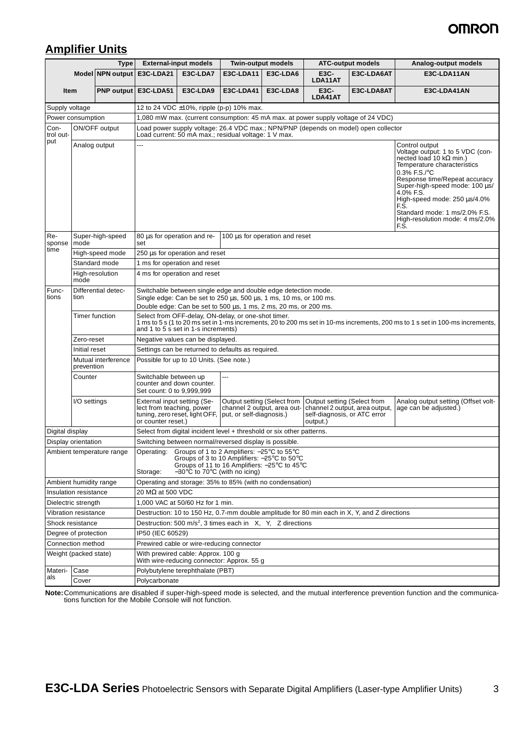# **OMRON**

### **Amplifier Units**

|                           |                      | <b>Type</b>         |                                                                                                                                                                                                                                                                 | <b>External-input models</b>                                                                                                                                                                                                     |                                                                                                                                      | <b>Twin-output models</b>      | <b>ATC-output models</b>                                                |                                                                                                                                                                                                                                                                                                                                          | Analog-output models                                                                                                          |  |  |
|---------------------------|----------------------|---------------------|-----------------------------------------------------------------------------------------------------------------------------------------------------------------------------------------------------------------------------------------------------------------|----------------------------------------------------------------------------------------------------------------------------------------------------------------------------------------------------------------------------------|--------------------------------------------------------------------------------------------------------------------------------------|--------------------------------|-------------------------------------------------------------------------|------------------------------------------------------------------------------------------------------------------------------------------------------------------------------------------------------------------------------------------------------------------------------------------------------------------------------------------|-------------------------------------------------------------------------------------------------------------------------------|--|--|
|                           |                      |                     | Model NPN output E3C-LDA21                                                                                                                                                                                                                                      | E3C-LDA7                                                                                                                                                                                                                         | E3C-LDA11                                                                                                                            | E3C-LDA6                       | E3C-<br>LDA11AT                                                         | E3C-LDA6AT                                                                                                                                                                                                                                                                                                                               | E3C-LDA11AN                                                                                                                   |  |  |
|                           | <b>Item</b>          |                     | PNP output   E3C-LDA51                                                                                                                                                                                                                                          | E3C-LDA9                                                                                                                                                                                                                         | E3C-LDA41                                                                                                                            | E3C-LDA8                       | E3C-<br>LDA41AT                                                         | E3C-LDA8AT                                                                                                                                                                                                                                                                                                                               | E3C-LDA41AN                                                                                                                   |  |  |
| Supply voltage            |                      |                     |                                                                                                                                                                                                                                                                 | 12 to 24 VDC ±10%, ripple (p-p) 10% max.                                                                                                                                                                                         |                                                                                                                                      |                                |                                                                         |                                                                                                                                                                                                                                                                                                                                          |                                                                                                                               |  |  |
| Power consumption         |                      |                     |                                                                                                                                                                                                                                                                 |                                                                                                                                                                                                                                  |                                                                                                                                      |                                |                                                                         |                                                                                                                                                                                                                                                                                                                                          |                                                                                                                               |  |  |
| Con-<br>trol out-         |                      | ON/OFF output       |                                                                                                                                                                                                                                                                 | 1,080 mW max. (current consumption: 45 mA max. at power supply voltage of 24 VDC)<br>Load power supply voltage: 26.4 VDC max.; NPN/PNP (depends on model) open collector<br>Load current: 50 mA max.; residual voltage: 1 V max. |                                                                                                                                      |                                |                                                                         |                                                                                                                                                                                                                                                                                                                                          |                                                                                                                               |  |  |
| put<br>Analog output      |                      | ---                 |                                                                                                                                                                                                                                                                 |                                                                                                                                                                                                                                  |                                                                                                                                      |                                |                                                                         | Control output<br>Voltage output: 1 to 5 VDC (con-<br>nected load 10 k $\Omega$ min.)<br>Temperature characteristics<br>0.3% F.S./°C<br>Response time/Repeat accuracy<br>Super-high-speed mode: 100 µs/<br>4.0% F.S.<br>High-speed mode: 250 µs/4.0%<br>F.S.<br>Standard mode: 1 ms/2.0% F.S.<br>High-resolution mode: 4 ms/2.0%<br>F.S. |                                                                                                                               |  |  |
| Re-<br>sponse             | mode                 | Super-high-speed    | 80 µs for operation and re-<br>set                                                                                                                                                                                                                              |                                                                                                                                                                                                                                  |                                                                                                                                      | 100 µs for operation and reset |                                                                         |                                                                                                                                                                                                                                                                                                                                          |                                                                                                                               |  |  |
| time                      |                      | High-speed mode     |                                                                                                                                                                                                                                                                 | 250 µs for operation and reset                                                                                                                                                                                                   |                                                                                                                                      |                                |                                                                         |                                                                                                                                                                                                                                                                                                                                          |                                                                                                                               |  |  |
|                           |                      | Standard mode       |                                                                                                                                                                                                                                                                 | 1 ms for operation and reset                                                                                                                                                                                                     |                                                                                                                                      |                                |                                                                         |                                                                                                                                                                                                                                                                                                                                          |                                                                                                                               |  |  |
|                           | mode                 | High-resolution     |                                                                                                                                                                                                                                                                 | 4 ms for operation and reset                                                                                                                                                                                                     |                                                                                                                                      |                                |                                                                         |                                                                                                                                                                                                                                                                                                                                          |                                                                                                                               |  |  |
| Func-<br>tions            | tion                 | Differential detec- |                                                                                                                                                                                                                                                                 |                                                                                                                                                                                                                                  | Switchable between single edge and double edge detection mode.<br>Single edge: Can be set to 250 µs, 500 µs, 1 ms, 10 ms, or 100 ms. |                                |                                                                         |                                                                                                                                                                                                                                                                                                                                          |                                                                                                                               |  |  |
|                           |                      | Timer function      |                                                                                                                                                                                                                                                                 | Double edge: Can be set to 500 µs, 1 ms, 2 ms, 20 ms, or 200 ms.<br>Select from OFF-delay, ON-delay, or one-shot timer.                                                                                                          |                                                                                                                                      |                                |                                                                         |                                                                                                                                                                                                                                                                                                                                          |                                                                                                                               |  |  |
|                           |                      |                     |                                                                                                                                                                                                                                                                 | and 1 to 5 s set in 1-s increments)                                                                                                                                                                                              |                                                                                                                                      |                                |                                                                         |                                                                                                                                                                                                                                                                                                                                          | 1 ms to 5 s (1 to 20 ms set in 1-ms increments, 20 to 200 ms set in 10-ms increments, 200 ms to 1 s set in 100-ms increments, |  |  |
|                           | Zero-reset           |                     |                                                                                                                                                                                                                                                                 | Negative values can be displayed.                                                                                                                                                                                                |                                                                                                                                      |                                |                                                                         |                                                                                                                                                                                                                                                                                                                                          |                                                                                                                               |  |  |
|                           | Initial reset        |                     |                                                                                                                                                                                                                                                                 |                                                                                                                                                                                                                                  | Settings can be returned to defaults as required.                                                                                    |                                |                                                                         |                                                                                                                                                                                                                                                                                                                                          |                                                                                                                               |  |  |
|                           | prevention           | Mutual interference |                                                                                                                                                                                                                                                                 | Possible for up to 10 Units. (See note.)                                                                                                                                                                                         |                                                                                                                                      |                                |                                                                         |                                                                                                                                                                                                                                                                                                                                          |                                                                                                                               |  |  |
|                           | Counter              |                     |                                                                                                                                                                                                                                                                 | ---<br>Switchable between up<br>counter and down counter.<br>Set count: 0 to 9,999,999                                                                                                                                           |                                                                                                                                      |                                |                                                                         |                                                                                                                                                                                                                                                                                                                                          |                                                                                                                               |  |  |
|                           | I/O settings         |                     | External input setting (Se-<br>lect from teaching, power<br>tuning, zero reset, light OFF,<br>or counter reset.)                                                                                                                                                |                                                                                                                                                                                                                                  | Output setting (Select from<br>put, or self-diagnosis.)                                                                              | channel 2 output, area out-    | Output setting (Select from<br>self-diagnosis, or ATC error<br>output.) | channel 2 output, area output,                                                                                                                                                                                                                                                                                                           | Analog output setting (Offset volt-<br>age can be adjusted.)                                                                  |  |  |
| Digital display           |                      |                     |                                                                                                                                                                                                                                                                 |                                                                                                                                                                                                                                  | Select from digital incident level + threshold or six other patterns.                                                                |                                |                                                                         |                                                                                                                                                                                                                                                                                                                                          |                                                                                                                               |  |  |
| Display orientation       |                      |                     |                                                                                                                                                                                                                                                                 |                                                                                                                                                                                                                                  | Switching between normal/reversed display is possible.                                                                               |                                |                                                                         |                                                                                                                                                                                                                                                                                                                                          |                                                                                                                               |  |  |
| Ambient temperature range |                      |                     | Operating: Groups of 1 to 2 Amplifiers: -25°C to 55°C<br>Groups of 3 to 10 Amplifiers: $-25^{\circ}$ C to $50^{\circ}$ C<br>Groups of 11 to 16 Amplifiers: $-25^{\circ}$ C to 45 $^{\circ}$ C<br>$-30^{\circ}$ C to 70 $^{\circ}$ C (with no icing)<br>Storage: |                                                                                                                                                                                                                                  |                                                                                                                                      |                                |                                                                         |                                                                                                                                                                                                                                                                                                                                          |                                                                                                                               |  |  |
| Ambient humidity range    |                      |                     | Operating and storage: 35% to 85% (with no condensation)                                                                                                                                                                                                        |                                                                                                                                                                                                                                  |                                                                                                                                      |                                |                                                                         |                                                                                                                                                                                                                                                                                                                                          |                                                                                                                               |  |  |
| Insulation resistance     |                      |                     | 20 MΩ at 500 VDC                                                                                                                                                                                                                                                |                                                                                                                                                                                                                                  |                                                                                                                                      |                                |                                                                         |                                                                                                                                                                                                                                                                                                                                          |                                                                                                                               |  |  |
| Dielectric strength       |                      |                     | 1.000 VAC at 50/60 Hz for 1 min.                                                                                                                                                                                                                                |                                                                                                                                                                                                                                  |                                                                                                                                      |                                |                                                                         |                                                                                                                                                                                                                                                                                                                                          |                                                                                                                               |  |  |
|                           | Vibration resistance |                     |                                                                                                                                                                                                                                                                 |                                                                                                                                                                                                                                  |                                                                                                                                      |                                |                                                                         | Destruction: 10 to 150 Hz, 0.7-mm double amplitude for 80 min each in X, Y, and Z directions                                                                                                                                                                                                                                             |                                                                                                                               |  |  |
| Shock resistance          |                      |                     | Destruction: 500 m/s <sup>2</sup> , 3 times each in X, Y, Z directions                                                                                                                                                                                          |                                                                                                                                                                                                                                  |                                                                                                                                      |                                |                                                                         |                                                                                                                                                                                                                                                                                                                                          |                                                                                                                               |  |  |
| Degree of protection      |                      | IP50 (IEC 60529)    |                                                                                                                                                                                                                                                                 |                                                                                                                                                                                                                                  |                                                                                                                                      |                                |                                                                         |                                                                                                                                                                                                                                                                                                                                          |                                                                                                                               |  |  |
| Connection method         |                      |                     |                                                                                                                                                                                                                                                                 |                                                                                                                                                                                                                                  | Prewired cable or wire-reducing connector                                                                                            |                                |                                                                         |                                                                                                                                                                                                                                                                                                                                          |                                                                                                                               |  |  |
| Weight (packed state)     |                      |                     |                                                                                                                                                                                                                                                                 | With prewired cable: Approx. 100 q<br>With wire-reducing connector: Approx. 55 g                                                                                                                                                 |                                                                                                                                      |                                |                                                                         |                                                                                                                                                                                                                                                                                                                                          |                                                                                                                               |  |  |
| Materi-                   | Case                 |                     |                                                                                                                                                                                                                                                                 | Polybutylene terephthalate (PBT)                                                                                                                                                                                                 |                                                                                                                                      |                                |                                                                         |                                                                                                                                                                                                                                                                                                                                          |                                                                                                                               |  |  |
| als                       | Cover                |                     | Polycarbonate                                                                                                                                                                                                                                                   |                                                                                                                                                                                                                                  |                                                                                                                                      |                                |                                                                         |                                                                                                                                                                                                                                                                                                                                          |                                                                                                                               |  |  |

**Note:**Communications are disabled if super-high-speed mode is selected, and the mutual interference prevention function and the communica-tions function for the Mobile Console will not function.